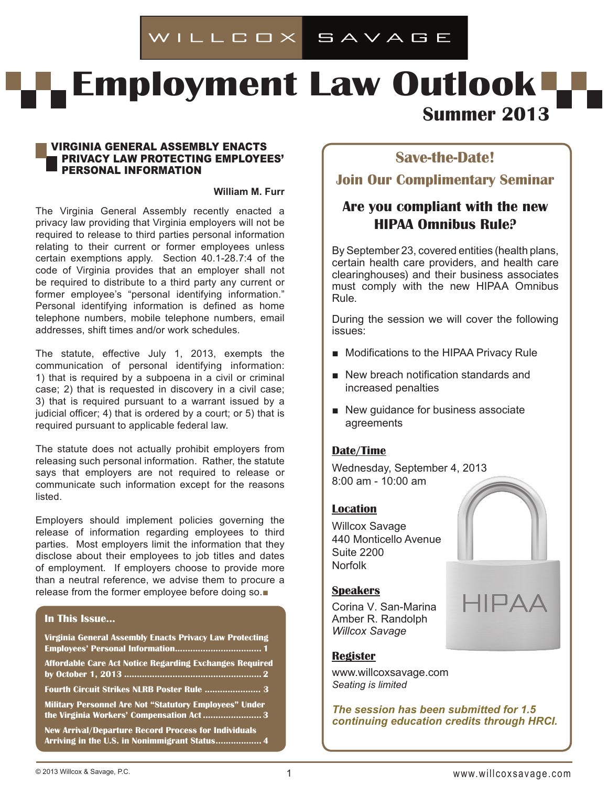# WILLCOX SAVAGE

# **Employment Law Outlook -Summer 2013**

#### Virginia general assembly enacts privacy law protecting employees' personal information

#### **William M. Furr**

The Virginia General Assembly recently enacted a privacy law providing that Virginia employers will not be required to release to third parties personal information relating to their current or former employees unless certain exemptions apply. Section 40.1-28.7:4 of the code of Virginia provides that an employer shall not be required to distribute to a third party any current or former employee's "personal identifying information." Personal identifying information is defined as home telephone numbers, mobile telephone numbers, email addresses, shift times and/or work schedules.

The statute, effective July 1, 2013, exempts the communication of personal identifying information: 1) that is required by a subpoena in a civil or criminal case; 2) that is requested in discovery in a civil case; 3) that is required pursuant to a warrant issued by a judicial officer; 4) that is ordered by a court; or 5) that is required pursuant to applicable federal law.

The statute does not actually prohibit employers from releasing such personal information. Rather, the statute says that employers are not required to release or communicate such information except for the reasons listed.

Employers should implement policies governing the release of information regarding employees to third parties. Most employers limit the information that they disclose about their employees to job titles and dates of employment. If employers choose to provide more than a neutral reference, we advise them to procure a release from the former employee before doing so.■

### **In This Issue...**

| Virginia General Assembly Enacts Privacy Law Protecting                                                    |
|------------------------------------------------------------------------------------------------------------|
| Affordable Care Act Notice Regarding Exchanges Required                                                    |
| Fourth Circuit Strikes NLRB Poster Rule  3                                                                 |
| <b>Military Personnel Are Not "Statutory Employees" Under</b><br>the Virginia Workers' Compensation Act  3 |
| <b>New Arrival/Departure Record Process for Individuals</b>                                                |

# **Save-the-Date!**

**Join Our Complimentary Seminar**

# **Are you compliant with the new HIPAA Omnibus Rule?**

By September 23, covered entities (health plans, certain health care providers, and health care clearinghouses) and their business associates must comply with the new HIPAA Omnibus Rule.

During the session we will cover the following issues:

- Modifications to the HIPAA Privacy Rule
- New breach notification standards and increased penalties
- New guidance for business associate agreements

# **Date/Time**

Wednesday, September 4, 2013 8:00 am - 10:00 am

#### **Location**

Willcox Savage 440 Monticello Avenue Suite 2200 Norfolk



## **Speakers**

Corina V. San-Marina Amber R. Randolph *Willcox Savage*

# **Register**

www.willcoxsavage.com *Seating is limited*

*The session has been submitted for 1.5 continuing education credits through HRCI.*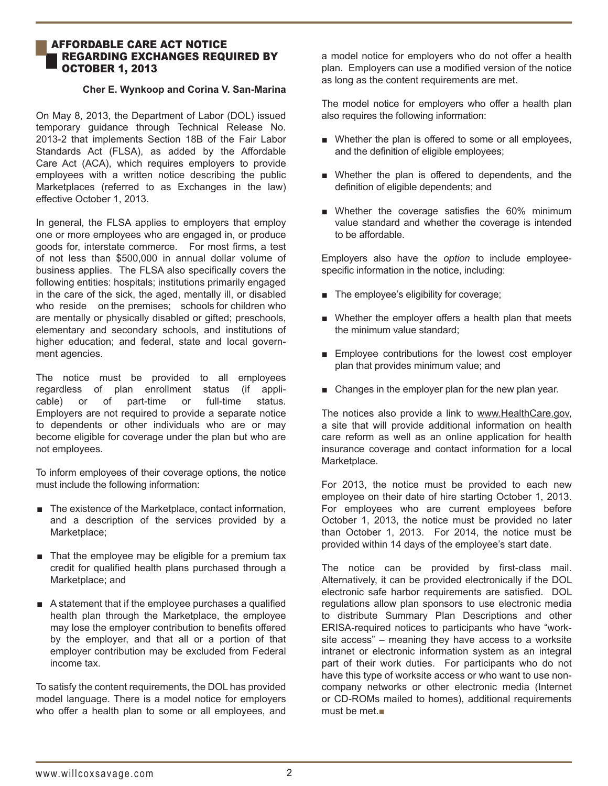#### affordable Care Act Notice Regarding Exchanges Required by **OCTOBER 1, 2013**

#### **Cher E. Wynkoop and Corina V. San-Marina**

On May 8, 2013, the Department of Labor (DOL) issued temporary guidance through Technical Release No. 2013-2 that implements Section 18B of the Fair Labor Standards Act (FLSA), as added by the Affordable Care Act (ACA), which requires employers to provide employees with a written notice describing the public Marketplaces (referred to as Exchanges in the law) effective October 1, 2013.

In general, the FLSA applies to employers that employ one or more employees who are engaged in, or produce goods for, interstate commerce. For most firms, a test of not less than \$500,000 in annual dollar volume of business applies. The FLSA also specifically covers the following entities: hospitals; institutions primarily engaged in the care of the sick, the aged, mentally ill, or disabled who reside on the premises; schools for children who are mentally or physically disabled or gifted; preschools, elementary and secondary schools, and institutions of higher education; and federal, state and local government agencies.

The notice must be provided to all employees regardless of plan enrollment status (if applicable) or of part-time or full-time status. Employers are not required to provide a separate notice to dependents or other individuals who are or may become eligible for coverage under the plan but who are not employees.

To inform employees of their coverage options, the notice must include the following information:

- The existence of the Marketplace, contact information, and a description of the services provided by a Marketplace:
- That the employee may be eligible for a premium tax credit for qualified health plans purchased through a Marketplace; and
- A statement that if the employee purchases a qualified health plan through the Marketplace, the employee may lose the employer contribution to benefits offered by the employer, and that all or a portion of that employer contribution may be excluded from Federal income tax.

To satisfy the content requirements, the DOL has provided model language. There is a model notice for employers who offer a health plan to some or all employees, and a model notice for employers who do not offer a health plan. Employers can use a modified version of the notice as long as the content requirements are met.

The model notice for employers who offer a health plan also requires the following information:

- Whether the plan is offered to some or all employees, and the definition of eligible employees;
- Whether the plan is offered to dependents, and the definition of eligible dependents; and
- Whether the coverage satisfies the 60% minimum value standard and whether the coverage is intended to be affordable.

Employers also have the *option* to include employeespecific information in the notice, including:

- The employee's eligibility for coverage;
- Whether the employer offers a health plan that meets the minimum value standard;
- Employee contributions for the lowest cost employer plan that provides minimum value; and
- Changes in the employer plan for the new plan year.

The notices also provide a link to www.HealthCare.gov, a site that will provide additional information on health care reform as well as an online application for health insurance coverage and contact information for a local Marketplace.

For 2013, the notice must be provided to each new employee on their date of hire starting October 1, 2013. For employees who are current employees before October 1, 2013, the notice must be provided no later than October 1, 2013. For 2014, the notice must be provided within 14 days of the employee's start date.

The notice can be provided by first-class mail. Alternatively, it can be provided electronically if the DOL electronic safe harbor requirements are satisfied. DOL regulations allow plan sponsors to use electronic media to distribute Summary Plan Descriptions and other ERISA-required notices to participants who have "worksite access" – meaning they have access to a worksite intranet or electronic information system as an integral part of their work duties. For participants who do not have this type of worksite access or who want to use noncompany networks or other electronic media (Internet or CD-ROMs mailed to homes), additional requirements must be met.■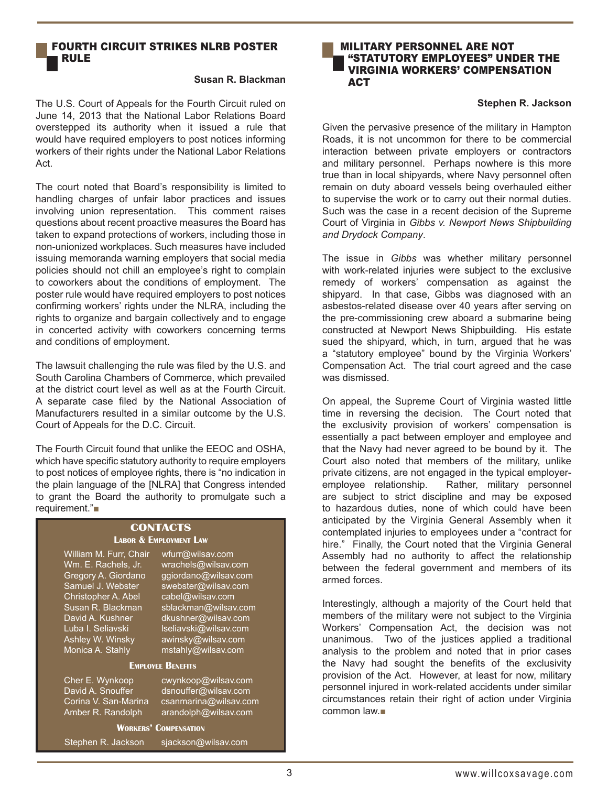## Fourth Circuit Strikes NLRB Poster Rule

#### **Susan R. Blackman**

The U.S. Court of Appeals for the Fourth Circuit ruled on June 14, 2013 that the National Labor Relations Board overstepped its authority when it issued a rule that would have required employers to post notices informing workers of their rights under the National Labor Relations Act.

The court noted that Board's responsibility is limited to handling charges of unfair labor practices and issues involving union representation. This comment raises questions about recent proactive measures the Board has taken to expand protections of workers, including those in non-unionized workplaces. Such measures have included issuing memoranda warning employers that social media policies should not chill an employee's right to complain to coworkers about the conditions of employment. The poster rule would have required employers to post notices confirming workers' rights under the NLRA, including the rights to organize and bargain collectively and to engage in concerted activity with coworkers concerning terms and conditions of employment.

The lawsuit challenging the rule was filed by the U.S. and South Carolina Chambers of Commerce, which prevailed at the district court level as well as at the Fourth Circuit. A separate case filed by the National Association of Manufacturers resulted in a similar outcome by the U.S. Court of Appeals for the D.C. Circuit.

The Fourth Circuit found that unlike the EEOC and OSHA, which have specific statutory authority to require employers to post notices of employee rights, there is "no indication in the plain language of the [NLRA] that Congress intended to grant the Board the authority to promulgate such a requirement."■

#### **Contacts Labor & Employment Law**

William M. Furr, Chair wfurr@wilsav.com Gregory A. Giordano<br>Samuel J. Webster Christopher A. Abel cabel@wilsav.com<br>Susan R. Blackman sblackman@wilsav Ashley W. Winsky awinsky@wilsav.com Monica A. Stahly mstahly@wilsav.com

Wm. E. Rachels, Jr. wrachels@wilsav.com<br>Gregory A. Giordano ggiordano@wilsav.com swebster@wilsav.com sblackman@wilsav.com David A. Kushner dkushner@wilsav.com Luba I. Seliavski lseliavski@wilsav.com

#### **Employee Benefits**

Cher E. Wynkoop cwynkoop@wilsav.com David A. Snouffer dsnouffer@wilsav.com Corina V. San-Marina csanmarina@wilsav.com Amber R. Randolph arandolph@wilsav.com

#### **Workers' Compensation**

Stephen R. Jackson sjackson@wilsav.com

#### Military Personnel Are Not "Statutory Employees" Under The Virginia Workers' Compensation **ACT**

#### **Stephen R. Jackson**

Given the pervasive presence of the military in Hampton Roads, it is not uncommon for there to be commercial interaction between private employers or contractors and military personnel. Perhaps nowhere is this more true than in local shipyards, where Navy personnel often remain on duty aboard vessels being overhauled either to supervise the work or to carry out their normal duties. Such was the case in a recent decision of the Supreme Court of Virginia in *Gibbs v. Newport News Shipbuilding and Drydock Company*.

The issue in *Gibbs* was whether military personnel with work-related injuries were subject to the exclusive remedy of workers' compensation as against the shipyard. In that case, Gibbs was diagnosed with an asbestos-related disease over 40 years after serving on the pre-commissioning crew aboard a submarine being constructed at Newport News Shipbuilding. His estate sued the shipyard, which, in turn, argued that he was a "statutory employee" bound by the Virginia Workers' Compensation Act. The trial court agreed and the case was dismissed.

On appeal, the Supreme Court of Virginia wasted little time in reversing the decision. The Court noted that the exclusivity provision of workers' compensation is essentially a pact between employer and employee and that the Navy had never agreed to be bound by it. The Court also noted that members of the military, unlike private citizens, are not engaged in the typical employeremployee relationship. Rather, military personnel are subject to strict discipline and may be exposed to hazardous duties, none of which could have been anticipated by the Virginia General Assembly when it contemplated injuries to employees under a "contract for hire." Finally, the Court noted that the Virginia General Assembly had no authority to affect the relationship between the federal government and members of its armed forces.

Interestingly, although a majority of the Court held that members of the military were not subject to the Virginia Workers' Compensation Act, the decision was not unanimous. Two of the justices applied a traditional analysis to the problem and noted that in prior cases the Navy had sought the benefits of the exclusivity provision of the Act. However, at least for now, military personnel injured in work-related accidents under similar circumstances retain their right of action under Virginia common law.■